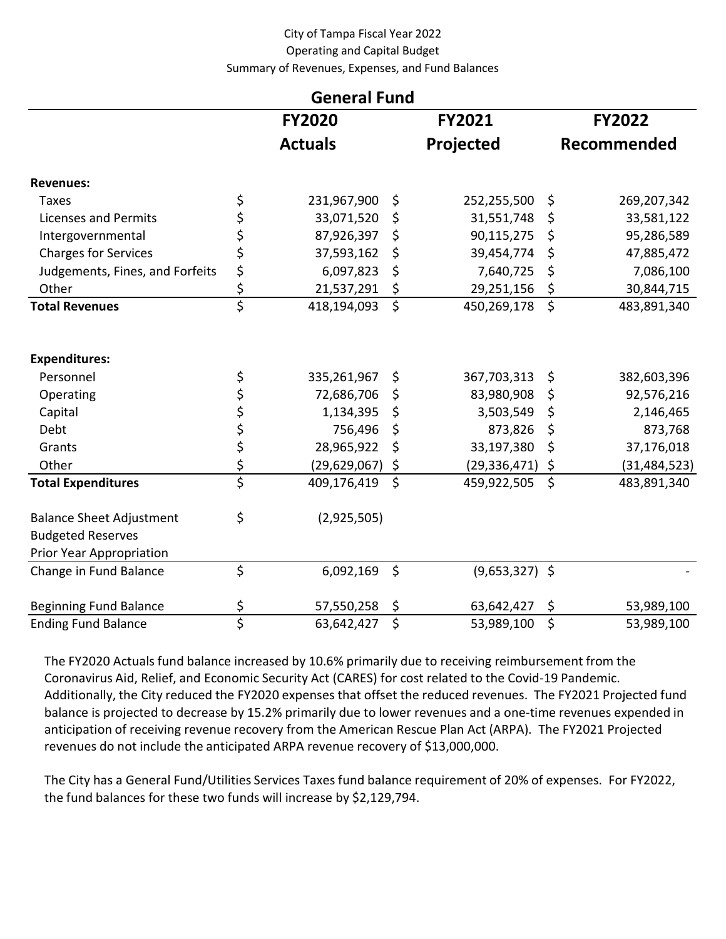## City of Tampa Fiscal Year 2022 Operating and Capital Budget Summary of Revenues, Expenses, and Fund Balances

| <b>General Fund</b>             |                                 |                |         |                  |         |                |  |  |  |
|---------------------------------|---------------------------------|----------------|---------|------------------|---------|----------------|--|--|--|
|                                 |                                 | <b>FY2020</b>  |         | FY2021           |         | <b>FY2022</b>  |  |  |  |
|                                 |                                 | <b>Actuals</b> |         | Projected        |         | Recommended    |  |  |  |
| <b>Revenues:</b>                |                                 |                |         |                  |         |                |  |  |  |
| Taxes                           | \$                              | 231,967,900    | \$      | 252,255,500      | \$      | 269,207,342    |  |  |  |
| <b>Licenses and Permits</b>     | \$                              | 33,071,520     | \$      | 31,551,748       | \$      | 33,581,122     |  |  |  |
| Intergovernmental               | \$                              | 87,926,397     | \$      | 90,115,275       | \$      | 95,286,589     |  |  |  |
| <b>Charges for Services</b>     | \$                              | 37,593,162     | \$      | 39,454,774       | \$      | 47,885,472     |  |  |  |
| Judgements, Fines, and Forfeits | \$                              | 6,097,823      | \$      | 7,640,725        | \$      | 7,086,100      |  |  |  |
| Other                           | \$                              | 21,537,291     | \$      | 29,251,156       | \$      | 30,844,715     |  |  |  |
| <b>Total Revenues</b>           | $\overline{\xi}$                | 418,194,093    | \$      | 450,269,178      | \$      | 483,891,340    |  |  |  |
| <b>Expenditures:</b>            |                                 |                |         |                  |         |                |  |  |  |
| Personnel                       | \$                              | 335,261,967    | \$      | 367,703,313      | \$      | 382,603,396    |  |  |  |
| Operating                       | \$<br>\$                        | 72,686,706     | \$      | 83,980,908       | \$      | 92,576,216     |  |  |  |
| Capital                         |                                 | 1,134,395      | \$      | 3,503,549        | \$      | 2,146,465      |  |  |  |
| Debt                            | \$<br>\$                        | 756,496        | \$      | 873,826          | \$      | 873,768        |  |  |  |
| Grants                          |                                 | 28,965,922     | \$      | 33,197,380       | \$      | 37,176,018     |  |  |  |
| Other                           | \$                              | (29, 629, 067) | \$      | (29, 336, 471)   | \$      | (31, 484, 523) |  |  |  |
| <b>Total Expenditures</b>       | $\overline{\xi}$                | 409,176,419    | $\zeta$ | 459,922,505      | $\zeta$ | 483,891,340    |  |  |  |
| <b>Balance Sheet Adjustment</b> | \$                              | (2,925,505)    |         |                  |         |                |  |  |  |
| <b>Budgeted Reserves</b>        |                                 |                |         |                  |         |                |  |  |  |
| Prior Year Appropriation        |                                 |                |         |                  |         |                |  |  |  |
| Change in Fund Balance          | \$                              | 6,092,169      | $\zeta$ | $(9,653,327)$ \$ |         |                |  |  |  |
| <b>Beginning Fund Balance</b>   | \$                              | 57,550,258     | \$      | 63,642,427       | \$      | 53,989,100     |  |  |  |
| <b>Ending Fund Balance</b>      | $\overline{\boldsymbol{\zeta}}$ | 63,642,427     | \$      | 53,989,100       | \$      | 53,989,100     |  |  |  |

 The FY2020 Actuals fund balance increased by 10.6% primarily due to receiving reimbursement from the Coronavirus Aid, Relief, and Economic Security Act (CARES) for cost related to the Covid-19 Pandemic. Additionally, the City reduced the FY2020 expenses that offset the reduced revenues. The FY2021 Projected fund balance is projected to decrease by 15.2% primarily due to lower revenues and a one-time revenues expended in anticipation of receiving revenue recovery from the American Rescue Plan Act (ARPA). The FY2021 Projected revenues do not include the anticipated ARPA revenue recovery of \$13,000,000.

 The City has a General Fund/Utilities Services Taxes fund balance requirement of 20% of expenses. For FY2022, the fund balances for these two funds will increase by \$2,129,794.